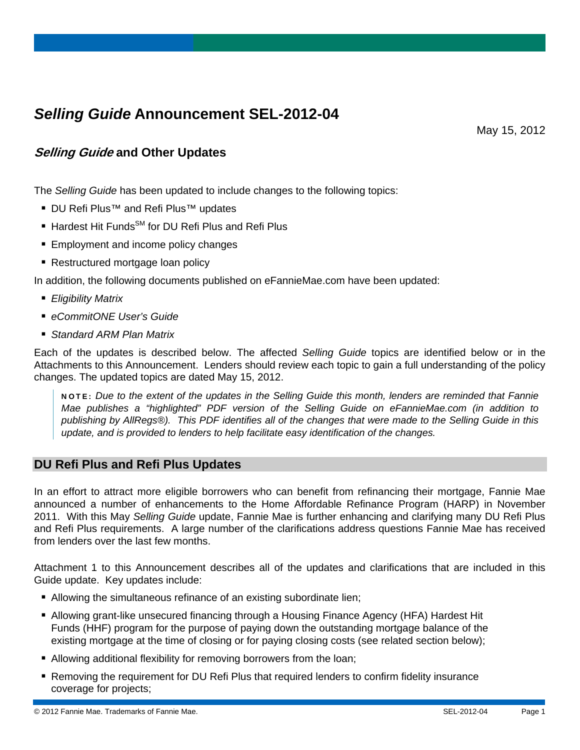# *Selling Guide* **Announcement SEL-2012-04**

May 15, 2012

# **Selling Guide and Other Updates**

The *Selling Guide* has been updated to include changes to the following topics:

- DU Refi Plus<sup>™</sup> and Refi Plus<sup>™</sup> updates
- Hardest Hit Funds<sup>SM</sup> for DU Refi Plus and Refi Plus
- **Employment and income policy changes**
- Restructured mortgage loan policy

In addition, the following documents published on eFannieMae.com have been updated:

- *Eligibility Matrix*
- *eCommitONE User's Guide*
- *Standard ARM Plan Matrix*

Each of the updates is described below. The affected *Selling Guide* topics are identified below or in the Attachments to this Announcement. Lenders should review each topic to gain a full understanding of the policy changes. The updated topics are dated May 15, 2012.

NOTE: *Due to the extent of the updates in the Selling Guide this month, lenders are reminded that Fannie Mae publishes a "highlighted" PDF version of the Selling Guide on eFannieMae.com (in addition to publishing by AllRegs®). This PDF identifies all of the changes that were made to the Selling Guide in this update, and is provided to lenders to help facilitate easy identification of the changes.* 

#### **DU Refi Plus and Refi Plus Updates**

In an effort to attract more eligible borrowers who can benefit from refinancing their mortgage, Fannie Mae announced a number of enhancements to the Home Affordable Refinance Program (HARP) in November 2011. With this May *Selling Guide* update, Fannie Mae is further enhancing and clarifying many DU Refi Plus and Refi Plus requirements. A large number of the clarifications address questions Fannie Mae has received from lenders over the last few months.

Attachment 1 to this Announcement describes all of the updates and clarifications that are included in this Guide update. Key updates include:

- Allowing the simultaneous refinance of an existing subordinate lien;
- Allowing grant-like unsecured financing through a Housing Finance Agency (HFA) Hardest Hit Funds (HHF) program for the purpose of paying down the outstanding mortgage balance of the existing mortgage at the time of closing or for paying closing costs (see related section below);
- Allowing additional flexibility for removing borrowers from the loan;
- Removing the requirement for DU Refi Plus that required lenders to confirm fidelity insurance coverage for projects;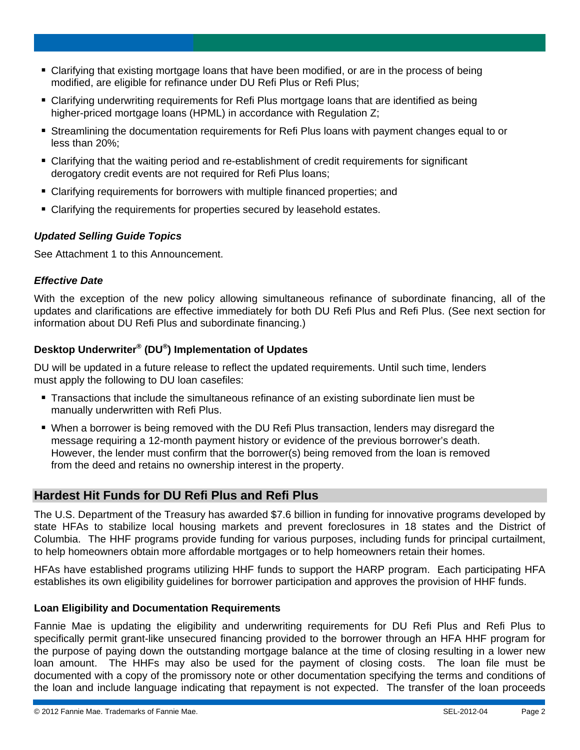- Clarifying that existing mortgage loans that have been modified, or are in the process of being modified, are eligible for refinance under DU Refi Plus or Refi Plus;
- Clarifying underwriting requirements for Refi Plus mortgage loans that are identified as being higher-priced mortgage loans (HPML) in accordance with Regulation Z;
- Streamlining the documentation requirements for Refi Plus loans with payment changes equal to or less than 20%;
- Clarifying that the waiting period and re-establishment of credit requirements for significant derogatory credit events are not required for Refi Plus loans;
- Clarifying requirements for borrowers with multiple financed properties; and
- Clarifying the requirements for properties secured by leasehold estates.

#### *Updated Selling Guide Topics*

See Attachment 1 to this Announcement.

#### *Effective Date*

With the exception of the new policy allowing simultaneous refinance of subordinate financing, all of the updates and clarifications are effective immediately for both DU Refi Plus and Refi Plus. (See next section for information about DU Refi Plus and subordinate financing.)

## **Desktop Underwriter® (DU®) Implementation of Updates**

DU will be updated in a future release to reflect the updated requirements. Until such time, lenders must apply the following to DU loan casefiles:

- Transactions that include the simultaneous refinance of an existing subordinate lien must be manually underwritten with Refi Plus.
- When a borrower is being removed with the DU Refi Plus transaction, lenders may disregard the message requiring a 12-month payment history or evidence of the previous borrower's death. However, the lender must confirm that the borrower(s) being removed from the loan is removed from the deed and retains no ownership interest in the property.

# **Hardest Hit Funds for DU Refi Plus and Refi Plus**

The U.S. Department of the Treasury has awarded \$7.6 billion in funding for innovative programs developed by state HFAs to stabilize local housing markets and prevent foreclosures in 18 states and the District of Columbia. The HHF programs provide funding for various purposes, including funds for principal curtailment, to help homeowners obtain more affordable mortgages or to help homeowners retain their homes.

HFAs have established programs utilizing HHF funds to support the HARP program. Each participating HFA establishes its own eligibility guidelines for borrower participation and approves the provision of HHF funds.

#### **Loan Eligibility and Documentation Requirements**

Fannie Mae is updating the eligibility and underwriting requirements for DU Refi Plus and Refi Plus to specifically permit grant-like unsecured financing provided to the borrower through an HFA HHF program for the purpose of paying down the outstanding mortgage balance at the time of closing resulting in a lower new loan amount. The HHFs may also be used for the payment of closing costs. The loan file must be documented with a copy of the promissory note or other documentation specifying the terms and conditions of the loan and include language indicating that repayment is not expected. The transfer of the loan proceeds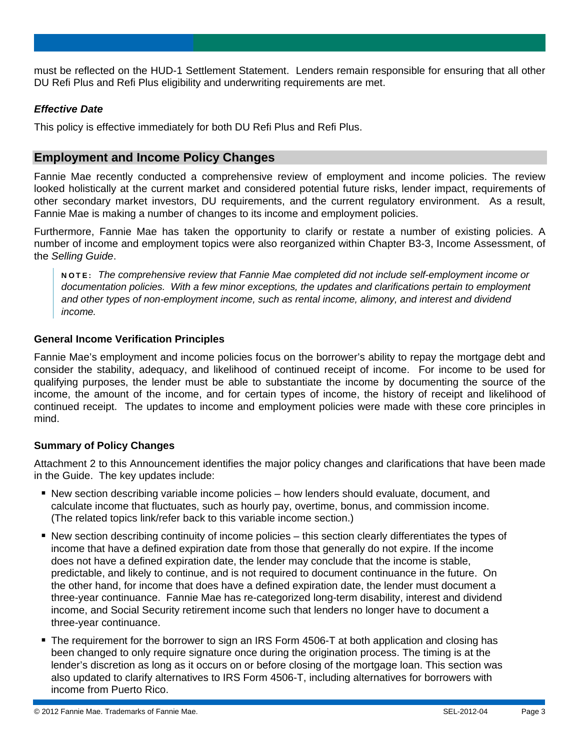must be reflected on the HUD-1 Settlement Statement. Lenders remain responsible for ensuring that all other DU Refi Plus and Refi Plus eligibility and underwriting requirements are met.

#### *Effective Date*

This policy is effective immediately for both DU Refi Plus and Refi Plus.

### **Employment and Income Policy Changes**

Fannie Mae recently conducted a comprehensive review of employment and income policies. The review looked holistically at the current market and considered potential future risks, lender impact, requirements of other secondary market investors, DU requirements, and the current regulatory environment. As a result, Fannie Mae is making a number of changes to its income and employment policies.

Furthermore, Fannie Mae has taken the opportunity to clarify or restate a number of existing policies. A number of income and employment topics were also reorganized within Chapter B3-3, Income Assessment, of the *Selling Guide*.

NOTE: *The comprehensive review that Fannie Mae completed did not include self-employment income or documentation policies. With a few minor exceptions, the updates and clarifications pertain to employment and other types of non-employment income, such as rental income, alimony, and interest and dividend income.* 

#### **General Income Verification Principles**

Fannie Mae's employment and income policies focus on the borrower's ability to repay the mortgage debt and consider the stability, adequacy, and likelihood of continued receipt of income. For income to be used for qualifying purposes, the lender must be able to substantiate the income by documenting the source of the income, the amount of the income, and for certain types of income, the history of receipt and likelihood of continued receipt. The updates to income and employment policies were made with these core principles in mind.

#### **Summary of Policy Changes**

Attachment 2 to this Announcement identifies the major policy changes and clarifications that have been made in the Guide. The key updates include:

- New section describing variable income policies how lenders should evaluate, document, and calculate income that fluctuates, such as hourly pay, overtime, bonus, and commission income. (The related topics link/refer back to this variable income section.)
- New section describing continuity of income policies this section clearly differentiates the types of income that have a defined expiration date from those that generally do not expire. If the income does not have a defined expiration date, the lender may conclude that the income is stable, predictable, and likely to continue, and is not required to document continuance in the future. On the other hand, for income that does have a defined expiration date, the lender must document a three-year continuance. Fannie Mae has re-categorized long-term disability, interest and dividend income, and Social Security retirement income such that lenders no longer have to document a three-year continuance.
- The requirement for the borrower to sign an IRS Form 4506-T at both application and closing has been changed to only require signature once during the origination process. The timing is at the lender's discretion as long as it occurs on or before closing of the mortgage loan. This section was also updated to clarify alternatives to IRS Form 4506-T, including alternatives for borrowers with income from Puerto Rico.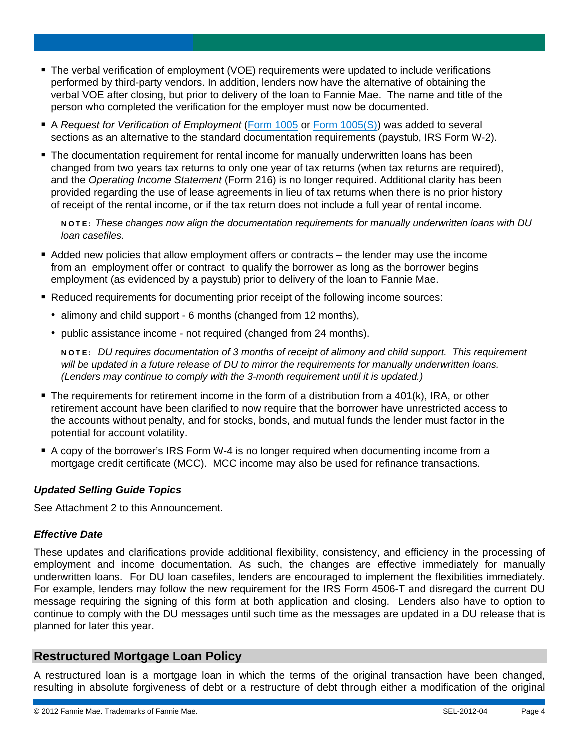- The verbal verification of employment (VOE) requirements were updated to include verifications performed by third-party vendors. In addition, lenders now have the alternative of obtaining the verbal VOE after closing, but prior to delivery of the loan to Fannie Mae. The name and title of the person who completed the verification for the employer must now be documented.
- A *Request for Verification of Employment* ([Form 1005](https://www.efanniemae.com/sf/formsdocs/forms/pdf/sellingtrans/1005.pdf) or [Form 1005\(S\)\)](https://www.efanniemae.com/sf/formsdocs/forms/pdf/sellingtrans/1005s.pdf) was added to several sections as an alternative to the standard documentation requirements (paystub, IRS Form W-2).
- **The documentation requirement for rental income for manually underwritten loans has been** changed from two years tax returns to only one year of tax returns (when tax returns are required), and the *Operating Income Statement* (Form 216) is no longer required. Additional clarity has been provided regarding the use of lease agreements in lieu of tax returns when there is no prior history of receipt of the rental income, or if the tax return does not include a full year of rental income.

NOTE: *These changes now align the documentation requirements for manually underwritten loans with DU loan casefiles.* 

- Added new policies that allow employment offers or contracts the lender may use the income from an employment offer or contract to qualify the borrower as long as the borrower begins employment (as evidenced by a paystub) prior to delivery of the loan to Fannie Mae.
- Reduced requirements for documenting prior receipt of the following income sources:
	- alimony and child support 6 months (changed from 12 months),
	- public assistance income not required (changed from 24 months).

NOTE: *DU requires documentation of 3 months of receipt of alimony and child support. This requirement will be updated in a future release of DU to mirror the requirements for manually underwritten loans. (Lenders may continue to comply with the 3-month requirement until it is updated.)* 

- The requirements for retirement income in the form of a distribution from a 401(k), IRA, or other retirement account have been clarified to now require that the borrower have unrestricted access to the accounts without penalty, and for stocks, bonds, and mutual funds the lender must factor in the potential for account volatility.
- A copy of the borrower's IRS Form W-4 is no longer required when documenting income from a mortgage credit certificate (MCC). MCC income may also be used for refinance transactions.

#### *Updated Selling Guide Topics*

See Attachment 2 to this Announcement.

#### *Effective Date*

These updates and clarifications provide additional flexibility, consistency, and efficiency in the processing of employment and income documentation. As such, the changes are effective immediately for manually underwritten loans. For DU loan casefiles, lenders are encouraged to implement the flexibilities immediately. For example, lenders may follow the new requirement for the IRS Form 4506-T and disregard the current DU message requiring the signing of this form at both application and closing. Lenders also have to option to continue to comply with the DU messages until such time as the messages are updated in a DU release that is planned for later this year.

### **Restructured Mortgage Loan Policy**

A restructured loan is a mortgage loan in which the terms of the original transaction have been changed, resulting in absolute forgiveness of debt or a restructure of debt through either a modification of the original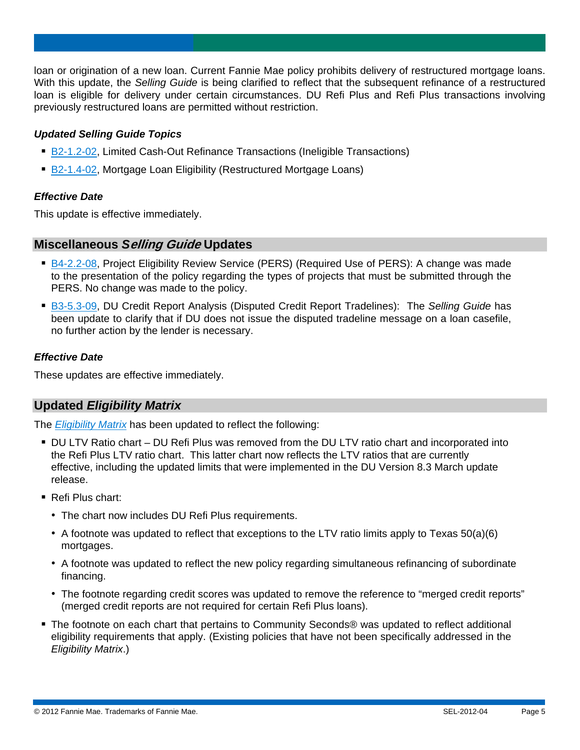loan or origination of a new loan. Current Fannie Mae policy prohibits delivery of restructured mortgage loans. With this update, the *Selling Guide* is being clarified to reflect that the subsequent refinance of a restructured loan is eligible for delivery under certain circumstances. DU Refi Plus and Refi Plus transactions involving previously restructured loans are permitted without restriction.

#### *Updated Selling Guide Topics*

- [B2-1.2-02](https://www.efanniemae.com/sf/guides/ssg/sg/pdf/sel051512.pdf#page=189), Limited Cash-Out Refinance Transactions (Ineligible Transactions)
- [B2-1.4-02](https://www.efanniemae.com/sf/guides/ssg/sg/pdf/sel051512.pdf#page=233), Mortgage Loan Eligibility (Restructured Mortgage Loans)

#### *Effective Date*

This update is effective immediately.

#### **Miscellaneous** *S***elling Guide Updates**

- [B4-2.2-08](https://www.efanniemae.com/sf/guides/ssg/sg/pdf/sel051512.pdf#page=651), Project Eligibility Review Service (PERS) (Required Use of PERS): A change was made to the presentation of the policy regarding the types of projects that must be submitted through the PERS. No change was made to the policy.
- [B3-5.3-09](https://www.efanniemae.com/sf/guides/ssg/sg/pdf/sel051512.pdf#page=486), DU Credit Report Analysis (Disputed Credit Report Tradelines): The *Selling Guide* has been update to clarify that if DU does not issue the disputed tradeline message on a loan casefile, no further action by the lender is necessary.

#### *Effective Date*

These updates are effective immediately.

#### **Updated** *Eligibility Matrix*

The *[Eligibility Matrix](https://www.efanniemae.com/sf/refmaterials/eligibility/pdf/eligibilitymatrix.pdf)* has been updated to reflect the following:

- DU LTV Ratio chart DU Refi Plus was removed from the DU LTV ratio chart and incorporated into the Refi Plus LTV ratio chart. This latter chart now reflects the LTV ratios that are currently effective, including the updated limits that were implemented in the DU Version 8.3 March update release.
- Refi Plus chart:
	- The chart now includes DU Refi Plus requirements.
	- A footnote was updated to reflect that exceptions to the LTV ratio limits apply to Texas  $50(a)(6)$ mortgages.
	- A footnote was updated to reflect the new policy regarding simultaneous refinancing of subordinate financing.
	- The footnote regarding credit scores was updated to remove the reference to "merged credit reports" (merged credit reports are not required for certain Refi Plus loans).
- The footnote on each chart that pertains to Community Seconds® was updated to reflect additional eligibility requirements that apply. (Existing policies that have not been specifically addressed in the *Eligibility Matrix*.)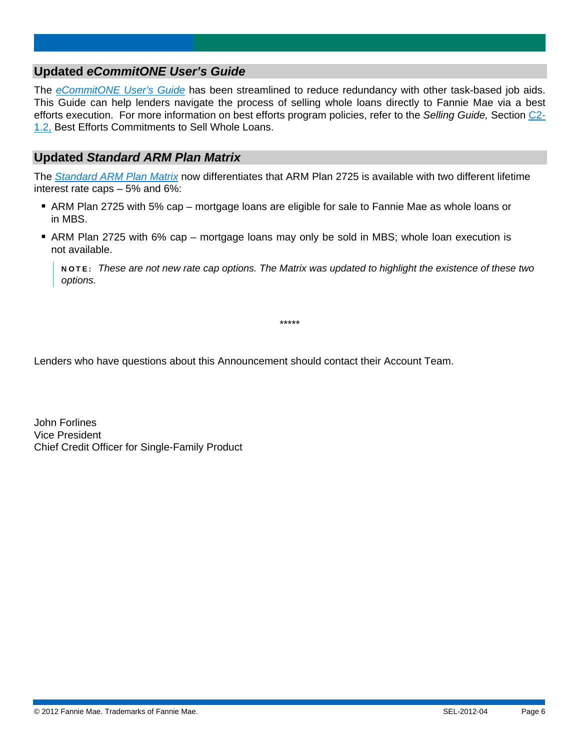## **Updated** *eCommitONE User's Guide*

The *[eCommitONE User's Guide](https://www.efanniemae.com/sf/technology/commitloandel/ecommitone/pdf/econeuserguide.pdf)* has been streamlined to reduce redundancy with other task-based job aids. This Guide can help lenders navigate the process of selling whole loans directly to Fannie Mae via a best efforts execution. For more information on best efforts program policies, refer to the *Selling Guide,* Section [C2-](https://www.efanniemae.com/sf/guides/ssg/sg/pdf/sel051512.pdf#page=1020) [1.2,](https://www.efanniemae.com/sf/guides/ssg/sg/pdf/sel051512.pdf#page=1020) Best Efforts Commitments to Sell Whole Loans.

#### **Updated** *Standard ARM Plan Matrix*

The *[Standard ARM Plan Matrix](https://www.efanniemae.com/sf/refmaterials/armmatrix/pdf/armmatrix.pdf)* now differentiates that ARM Plan 2725 is available with two different lifetime interest rate caps – 5% and 6%:

- ARM Plan 2725 with 5% cap mortgage loans are eligible for sale to Fannie Mae as whole loans or in MBS.
- ARM Plan 2725 with 6% cap mortgage loans may only be sold in MBS; whole loan execution is not available.

NOTE: *These are not new rate cap options. The Matrix was updated to highlight the existence of these two options.* 

\*\*\*\*\*

Lenders who have questions about this Announcement should contact their Account Team.

John Forlines Vice President Chief Credit Officer for Single-Family Product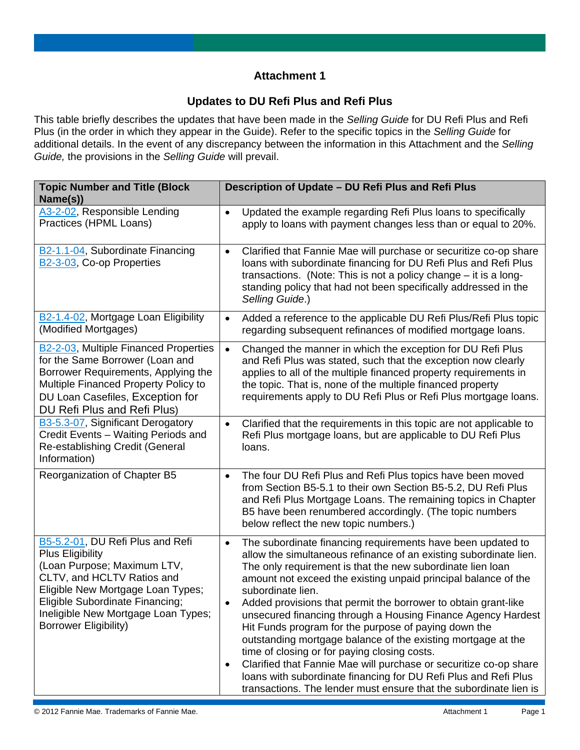## **Attachment 1**

## **Updates to DU Refi Plus and Refi Plus**

This table briefly describes the updates that have been made in the *Selling Guide* for DU Refi Plus and Refi Plus (in the order in which they appear in the Guide). Refer to the specific topics in the *Selling Guide* for additional details. In the event of any discrepancy between the information in this Attachment and the *Selling Guide,* the provisions in the *Selling Guide* will prevail.

| <b>Topic Number and Title (Block</b><br>Name(s))                                                                                                                                                                                                                        | Description of Update - DU Refi Plus and Refi Plus                                                                                                                                                                                                                                                                                                                                                                                                                                                                                                                                                                                                                                                                                                                                                                             |  |  |  |
|-------------------------------------------------------------------------------------------------------------------------------------------------------------------------------------------------------------------------------------------------------------------------|--------------------------------------------------------------------------------------------------------------------------------------------------------------------------------------------------------------------------------------------------------------------------------------------------------------------------------------------------------------------------------------------------------------------------------------------------------------------------------------------------------------------------------------------------------------------------------------------------------------------------------------------------------------------------------------------------------------------------------------------------------------------------------------------------------------------------------|--|--|--|
| A3-2-02, Responsible Lending<br>Practices (HPML Loans)                                                                                                                                                                                                                  | Updated the example regarding Refi Plus loans to specifically<br>$\bullet$<br>apply to loans with payment changes less than or equal to 20%.                                                                                                                                                                                                                                                                                                                                                                                                                                                                                                                                                                                                                                                                                   |  |  |  |
| B2-1.1-04, Subordinate Financing<br>B2-3-03, Co-op Properties                                                                                                                                                                                                           | Clarified that Fannie Mae will purchase or securitize co-op share<br>$\bullet$<br>loans with subordinate financing for DU Refi Plus and Refi Plus<br>transactions. (Note: This is not a policy change - it is a long-<br>standing policy that had not been specifically addressed in the<br>Selling Guide.)                                                                                                                                                                                                                                                                                                                                                                                                                                                                                                                    |  |  |  |
| B2-1.4-02, Mortgage Loan Eligibility<br>(Modified Mortgages)                                                                                                                                                                                                            | Added a reference to the applicable DU Refi Plus/Refi Plus topic<br>$\bullet$<br>regarding subsequent refinances of modified mortgage loans.                                                                                                                                                                                                                                                                                                                                                                                                                                                                                                                                                                                                                                                                                   |  |  |  |
| <b>B2-2-03</b> , Multiple Financed Properties<br>for the Same Borrower (Loan and<br>Borrower Requirements, Applying the<br>Multiple Financed Property Policy to<br>DU Loan Casefiles, Exception for<br>DU Refi Plus and Refi Plus)                                      | Changed the manner in which the exception for DU Refi Plus<br>$\bullet$<br>and Refi Plus was stated, such that the exception now clearly<br>applies to all of the multiple financed property requirements in<br>the topic. That is, none of the multiple financed property<br>requirements apply to DU Refi Plus or Refi Plus mortgage loans.                                                                                                                                                                                                                                                                                                                                                                                                                                                                                  |  |  |  |
| B3-5.3-07, Significant Derogatory<br>Credit Events - Waiting Periods and<br>Re-establishing Credit (General<br>Information)                                                                                                                                             | Clarified that the requirements in this topic are not applicable to<br>$\bullet$<br>Refi Plus mortgage loans, but are applicable to DU Refi Plus<br>loans.                                                                                                                                                                                                                                                                                                                                                                                                                                                                                                                                                                                                                                                                     |  |  |  |
| Reorganization of Chapter B5                                                                                                                                                                                                                                            | The four DU Refi Plus and Refi Plus topics have been moved<br>$\bullet$<br>from Section B5-5.1 to their own Section B5-5.2, DU Refi Plus<br>and Refi Plus Mortgage Loans. The remaining topics in Chapter<br>B5 have been renumbered accordingly. (The topic numbers<br>below reflect the new topic numbers.)                                                                                                                                                                                                                                                                                                                                                                                                                                                                                                                  |  |  |  |
| B5-5.2-01, DU Refi Plus and Refi<br><b>Plus Eligibility</b><br>(Loan Purpose; Maximum LTV,<br>CLTV, and HCLTV Ratios and<br>Eligible New Mortgage Loan Types;<br>Eligible Subordinate Financing;<br>Ineligible New Mortgage Loan Types;<br><b>Borrower Eligibility)</b> | The subordinate financing requirements have been updated to<br>$\bullet$<br>allow the simultaneous refinance of an existing subordinate lien.<br>The only requirement is that the new subordinate lien loan<br>amount not exceed the existing unpaid principal balance of the<br>subordinate lien.<br>Added provisions that permit the borrower to obtain grant-like<br>unsecured financing through a Housing Finance Agency Hardest<br>Hit Funds program for the purpose of paying down the<br>outstanding mortgage balance of the existing mortgage at the<br>time of closing or for paying closing costs.<br>Clarified that Fannie Mae will purchase or securitize co-op share<br>٠<br>loans with subordinate financing for DU Refi Plus and Refi Plus<br>transactions. The lender must ensure that the subordinate lien is |  |  |  |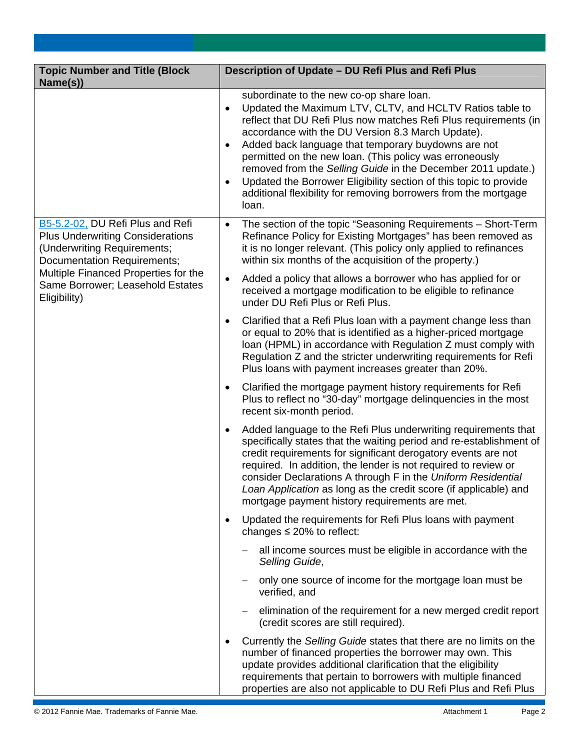| <b>Topic Number and Title (Block</b><br>Name(s))                                                                                                                                                                                             | Description of Update - DU Refi Plus and Refi Plus                                                                                                                                                                                                                                                                                                                                                                                                                                                                                                                                                      |  |  |  |  |
|----------------------------------------------------------------------------------------------------------------------------------------------------------------------------------------------------------------------------------------------|---------------------------------------------------------------------------------------------------------------------------------------------------------------------------------------------------------------------------------------------------------------------------------------------------------------------------------------------------------------------------------------------------------------------------------------------------------------------------------------------------------------------------------------------------------------------------------------------------------|--|--|--|--|
|                                                                                                                                                                                                                                              | subordinate to the new co-op share loan.<br>Updated the Maximum LTV, CLTV, and HCLTV Ratios table to<br>$\bullet$<br>reflect that DU Refi Plus now matches Refi Plus requirements (in<br>accordance with the DU Version 8.3 March Update).<br>Added back language that temporary buydowns are not<br>$\bullet$<br>permitted on the new loan. (This policy was erroneously<br>removed from the Selling Guide in the December 2011 update.)<br>Updated the Borrower Eligibility section of this topic to provide<br>$\bullet$<br>additional flexibility for removing borrowers from the mortgage<br>loan. |  |  |  |  |
| B5-5.2-02, DU Refi Plus and Refi<br><b>Plus Underwriting Considerations</b><br>(Underwriting Requirements;<br><b>Documentation Requirements;</b><br>Multiple Financed Properties for the<br>Same Borrower; Leasehold Estates<br>Eligibility) | The section of the topic "Seasoning Requirements - Short-Term<br>$\bullet$<br>Refinance Policy for Existing Mortgages" has been removed as<br>it is no longer relevant. (This policy only applied to refinances<br>within six months of the acquisition of the property.)                                                                                                                                                                                                                                                                                                                               |  |  |  |  |
|                                                                                                                                                                                                                                              | Added a policy that allows a borrower who has applied for or<br>$\bullet$<br>received a mortgage modification to be eligible to refinance<br>under DU Refi Plus or Refi Plus.                                                                                                                                                                                                                                                                                                                                                                                                                           |  |  |  |  |
|                                                                                                                                                                                                                                              | Clarified that a Refi Plus loan with a payment change less than<br>$\bullet$<br>or equal to 20% that is identified as a higher-priced mortgage<br>loan (HPML) in accordance with Regulation Z must comply with<br>Regulation Z and the stricter underwriting requirements for Refi<br>Plus loans with payment increases greater than 20%.                                                                                                                                                                                                                                                               |  |  |  |  |
|                                                                                                                                                                                                                                              | Clarified the mortgage payment history requirements for Refi<br>$\bullet$<br>Plus to reflect no "30-day" mortgage delinquencies in the most<br>recent six-month period.                                                                                                                                                                                                                                                                                                                                                                                                                                 |  |  |  |  |
|                                                                                                                                                                                                                                              | Added language to the Refi Plus underwriting requirements that<br>$\bullet$<br>specifically states that the waiting period and re-establishment of<br>credit requirements for significant derogatory events are not<br>required. In addition, the lender is not required to review or<br>consider Declarations A through F in the Uniform Residential<br>Loan Application as long as the credit score (if applicable) and<br>mortgage payment history requirements are met.                                                                                                                             |  |  |  |  |
|                                                                                                                                                                                                                                              | Updated the requirements for Refi Plus loans with payment<br>$\bullet$<br>changes $\leq$ 20% to reflect:                                                                                                                                                                                                                                                                                                                                                                                                                                                                                                |  |  |  |  |
|                                                                                                                                                                                                                                              | all income sources must be eligible in accordance with the<br>Selling Guide,                                                                                                                                                                                                                                                                                                                                                                                                                                                                                                                            |  |  |  |  |
|                                                                                                                                                                                                                                              | only one source of income for the mortgage loan must be<br>verified, and                                                                                                                                                                                                                                                                                                                                                                                                                                                                                                                                |  |  |  |  |
|                                                                                                                                                                                                                                              | elimination of the requirement for a new merged credit report<br>$\overline{\phantom{m}}$<br>(credit scores are still required).                                                                                                                                                                                                                                                                                                                                                                                                                                                                        |  |  |  |  |
|                                                                                                                                                                                                                                              | Currently the Selling Guide states that there are no limits on the<br>number of financed properties the borrower may own. This<br>update provides additional clarification that the eligibility<br>requirements that pertain to borrowers with multiple financed<br>properties are also not applicable to DU Refi Plus and Refi Plus                                                                                                                                                                                                                                                                    |  |  |  |  |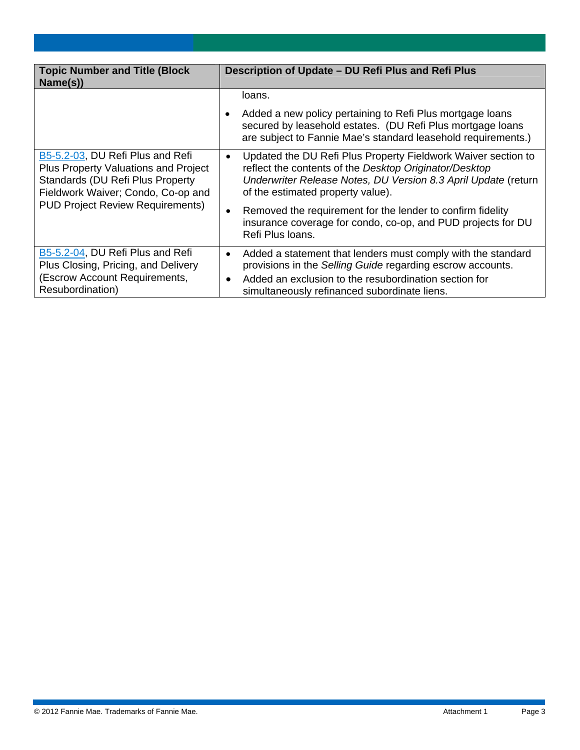| <b>Topic Number and Title (Block</b><br>Name(s))                                                                                                                                                             | Description of Update - DU Refi Plus and Refi Plus                                                                                                                                                                                                    |  |  |  |
|--------------------------------------------------------------------------------------------------------------------------------------------------------------------------------------------------------------|-------------------------------------------------------------------------------------------------------------------------------------------------------------------------------------------------------------------------------------------------------|--|--|--|
|                                                                                                                                                                                                              | loans.                                                                                                                                                                                                                                                |  |  |  |
|                                                                                                                                                                                                              | Added a new policy pertaining to Refi Plus mortgage loans<br>secured by leasehold estates. (DU Refi Plus mortgage loans<br>are subject to Fannie Mae's standard leasehold requirements.)                                                              |  |  |  |
| B5-5.2-03, DU Refi Plus and Refi<br><b>Plus Property Valuations and Project</b><br><b>Standards (DU Refi Plus Property)</b><br>Fieldwork Waiver; Condo, Co-op and<br><b>PUD Project Review Requirements)</b> | Updated the DU Refi Plus Property Fieldwork Waiver section to<br>$\bullet$<br>reflect the contents of the Desktop Originator/Desktop<br>Underwriter Release Notes, DU Version 8.3 April Update (return<br>of the estimated property value).           |  |  |  |
|                                                                                                                                                                                                              | Removed the requirement for the lender to confirm fidelity<br>$\bullet$<br>insurance coverage for condo, co-op, and PUD projects for DU<br>Refi Plus Ioans.                                                                                           |  |  |  |
| B5-5.2-04, DU Refi Plus and Refi<br>Plus Closing, Pricing, and Delivery<br>(Escrow Account Requirements,<br>Resubordination)                                                                                 | Added a statement that lenders must comply with the standard<br>$\bullet$<br>provisions in the Selling Guide regarding escrow accounts.<br>Added an exclusion to the resubordination section for<br>٠<br>simultaneously refinanced subordinate liens. |  |  |  |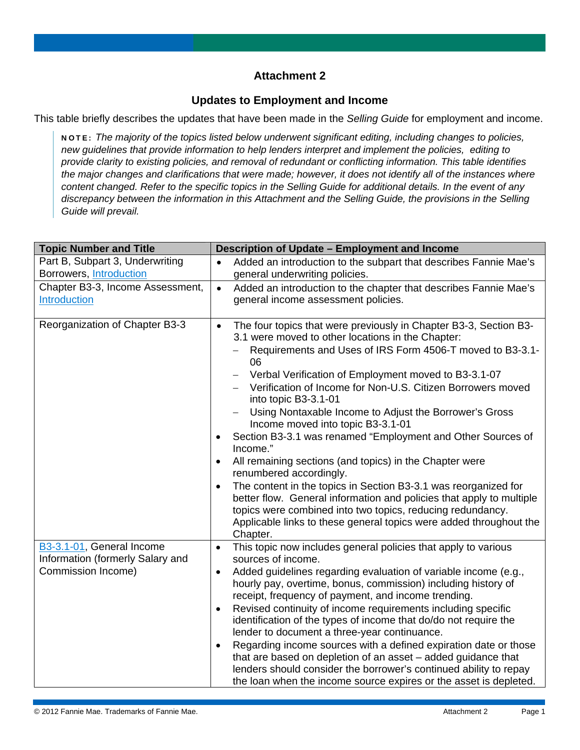## **Attachment 2**

#### **Updates to Employment and Income**

This table briefly describes the updates that have been made in the *Selling Guide* for employment and income.

NOTE: *The majority of the topics listed below underwent significant editing, including changes to policies, new guidelines that provide information to help lenders interpret and implement the policies, editing to provide clarity to existing policies, and removal of redundant or conflicting information. This table identifies the major changes and clarifications that were made; however, it does not identify all of the instances where content changed. Refer to the specific topics in the Selling Guide for additional details. In the event of any discrepancy between the information in this Attachment and the Selling Guide, the provisions in the Selling Guide will prevail.*

| <b>Topic Number and Title</b>                                 | Description of Update - Employment and Income                                                                                           |  |  |  |  |
|---------------------------------------------------------------|-----------------------------------------------------------------------------------------------------------------------------------------|--|--|--|--|
| Part B, Subpart 3, Underwriting                               | Added an introduction to the subpart that describes Fannie Mae's                                                                        |  |  |  |  |
| Borrowers, Introduction                                       | general underwriting policies.                                                                                                          |  |  |  |  |
| Chapter B3-3, Income Assessment,                              | Added an introduction to the chapter that describes Fannie Mae's<br>$\bullet$                                                           |  |  |  |  |
| Introduction                                                  | general income assessment policies.                                                                                                     |  |  |  |  |
|                                                               |                                                                                                                                         |  |  |  |  |
| Reorganization of Chapter B3-3                                | The four topics that were previously in Chapter B3-3, Section B3-<br>$\bullet$<br>3.1 were moved to other locations in the Chapter:     |  |  |  |  |
|                                                               | Requirements and Uses of IRS Form 4506-T moved to B3-3.1-<br>06                                                                         |  |  |  |  |
|                                                               | Verbal Verification of Employment moved to B3-3.1-07                                                                                    |  |  |  |  |
|                                                               | Verification of Income for Non-U.S. Citizen Borrowers moved<br>into topic B3-3.1-01                                                     |  |  |  |  |
|                                                               | Using Nontaxable Income to Adjust the Borrower's Gross<br>Income moved into topic B3-3.1-01                                             |  |  |  |  |
|                                                               | Section B3-3.1 was renamed "Employment and Other Sources of<br>Income."                                                                 |  |  |  |  |
|                                                               | All remaining sections (and topics) in the Chapter were                                                                                 |  |  |  |  |
|                                                               | renumbered accordingly.                                                                                                                 |  |  |  |  |
|                                                               | The content in the topics in Section B3-3.1 was reorganized for<br>better flow. General information and policies that apply to multiple |  |  |  |  |
|                                                               | topics were combined into two topics, reducing redundancy.                                                                              |  |  |  |  |
|                                                               | Applicable links to these general topics were added throughout the<br>Chapter.                                                          |  |  |  |  |
| B3-3.1-01, General Income<br>Information (formerly Salary and | This topic now includes general policies that apply to various<br>$\bullet$<br>sources of income.                                       |  |  |  |  |
| Commission Income)                                            | Added guidelines regarding evaluation of variable income (e.g.,<br>hourly pay, overtime, bonus, commission) including history of        |  |  |  |  |
|                                                               | receipt, frequency of payment, and income trending.                                                                                     |  |  |  |  |
|                                                               | Revised continuity of income requirements including specific<br>$\bullet$                                                               |  |  |  |  |
|                                                               | identification of the types of income that do/do not require the                                                                        |  |  |  |  |
|                                                               | lender to document a three-year continuance.                                                                                            |  |  |  |  |
|                                                               | Regarding income sources with a defined expiration date or those<br>$\bullet$                                                           |  |  |  |  |
|                                                               | that are based on depletion of an asset - added guidance that                                                                           |  |  |  |  |
|                                                               | lenders should consider the borrower's continued ability to repay                                                                       |  |  |  |  |
|                                                               | the loan when the income source expires or the asset is depleted.                                                                       |  |  |  |  |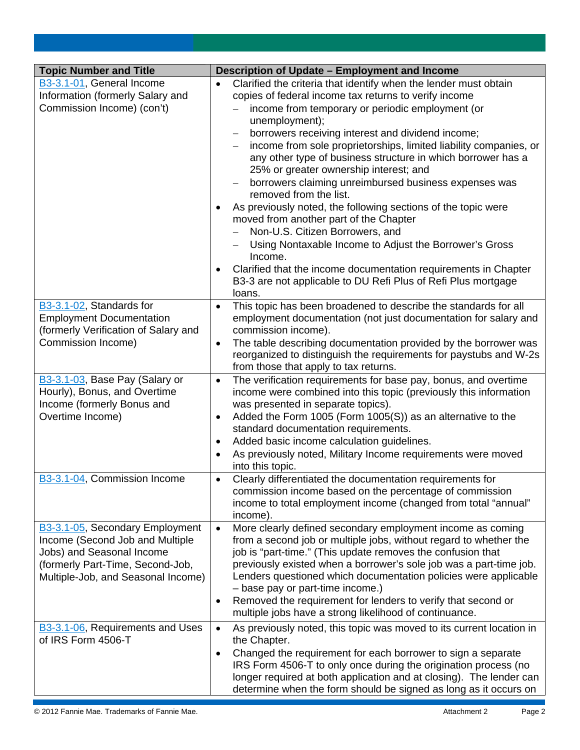| <b>Topic Number and Title</b>                                 | Description of Update - Employment and Income                                                                                                |  |  |  |  |
|---------------------------------------------------------------|----------------------------------------------------------------------------------------------------------------------------------------------|--|--|--|--|
| B3-3.1-01, General Income                                     | Clarified the criteria that identify when the lender must obtain<br>$\bullet$                                                                |  |  |  |  |
| Information (formerly Salary and                              | copies of federal income tax returns to verify income                                                                                        |  |  |  |  |
| Commission Income) (con't)                                    | income from temporary or periodic employment (or                                                                                             |  |  |  |  |
|                                                               | unemployment);                                                                                                                               |  |  |  |  |
|                                                               | borrowers receiving interest and dividend income;                                                                                            |  |  |  |  |
|                                                               | income from sole proprietorships, limited liability companies, or                                                                            |  |  |  |  |
|                                                               | any other type of business structure in which borrower has a<br>25% or greater ownership interest; and                                       |  |  |  |  |
|                                                               | borrowers claiming unreimbursed business expenses was                                                                                        |  |  |  |  |
|                                                               | removed from the list.                                                                                                                       |  |  |  |  |
|                                                               | As previously noted, the following sections of the topic were                                                                                |  |  |  |  |
|                                                               | moved from another part of the Chapter                                                                                                       |  |  |  |  |
|                                                               | Non-U.S. Citizen Borrowers, and                                                                                                              |  |  |  |  |
|                                                               | Using Nontaxable Income to Adjust the Borrower's Gross                                                                                       |  |  |  |  |
|                                                               | Income.                                                                                                                                      |  |  |  |  |
|                                                               | Clarified that the income documentation requirements in Chapter                                                                              |  |  |  |  |
|                                                               | B3-3 are not applicable to DU Refi Plus of Refi Plus mortgage                                                                                |  |  |  |  |
| B3-3.1-02, Standards for                                      | loans.<br>This topic has been broadened to describe the standards for all                                                                    |  |  |  |  |
| <b>Employment Documentation</b>                               | $\bullet$<br>employment documentation (not just documentation for salary and                                                                 |  |  |  |  |
| (formerly Verification of Salary and                          | commission income).                                                                                                                          |  |  |  |  |
| Commission Income)                                            | The table describing documentation provided by the borrower was<br>$\bullet$                                                                 |  |  |  |  |
|                                                               | reorganized to distinguish the requirements for paystubs and W-2s                                                                            |  |  |  |  |
|                                                               | from those that apply to tax returns.                                                                                                        |  |  |  |  |
| B3-3.1-03, Base Pay (Salary or                                | The verification requirements for base pay, bonus, and overtime<br>$\bullet$                                                                 |  |  |  |  |
| Hourly), Bonus, and Overtime                                  | income were combined into this topic (previously this information                                                                            |  |  |  |  |
| Income (formerly Bonus and                                    | was presented in separate topics).                                                                                                           |  |  |  |  |
| Overtime Income)                                              | Added the Form 1005 (Form 1005(S)) as an alternative to the                                                                                  |  |  |  |  |
|                                                               | standard documentation requirements.<br>Added basic income calculation guidelines.                                                           |  |  |  |  |
|                                                               | As previously noted, Military Income requirements were moved                                                                                 |  |  |  |  |
|                                                               | into this topic.                                                                                                                             |  |  |  |  |
| B3-3.1-04, Commission Income                                  | Clearly differentiated the documentation requirements for<br>$\bullet$                                                                       |  |  |  |  |
|                                                               | commission income based on the percentage of commission                                                                                      |  |  |  |  |
|                                                               | income to total employment income (changed from total "annual"                                                                               |  |  |  |  |
|                                                               | income).                                                                                                                                     |  |  |  |  |
| B3-3.1-05, Secondary Employment                               | More clearly defined secondary employment income as coming<br>$\bullet$                                                                      |  |  |  |  |
| Income (Second Job and Multiple                               | from a second job or multiple jobs, without regard to whether the                                                                            |  |  |  |  |
| Jobs) and Seasonal Income<br>(formerly Part-Time, Second-Job, | job is "part-time." (This update removes the confusion that<br>previously existed when a borrower's sole job was a part-time job.            |  |  |  |  |
| Multiple-Job, and Seasonal Income)                            | Lenders questioned which documentation policies were applicable                                                                              |  |  |  |  |
|                                                               | - base pay or part-time income.)                                                                                                             |  |  |  |  |
|                                                               | Removed the requirement for lenders to verify that second or<br>$\bullet$                                                                    |  |  |  |  |
|                                                               | multiple jobs have a strong likelihood of continuance.                                                                                       |  |  |  |  |
| B3-3.1-06, Requirements and Uses                              | As previously noted, this topic was moved to its current location in<br>$\bullet$                                                            |  |  |  |  |
| of IRS Form 4506-T                                            | the Chapter.                                                                                                                                 |  |  |  |  |
|                                                               | Changed the requirement for each borrower to sign a separate<br>$\bullet$<br>IRS Form 4506-T to only once during the origination process (no |  |  |  |  |
|                                                               | longer required at both application and at closing). The lender can                                                                          |  |  |  |  |
|                                                               | determine when the form should be signed as long as it occurs on                                                                             |  |  |  |  |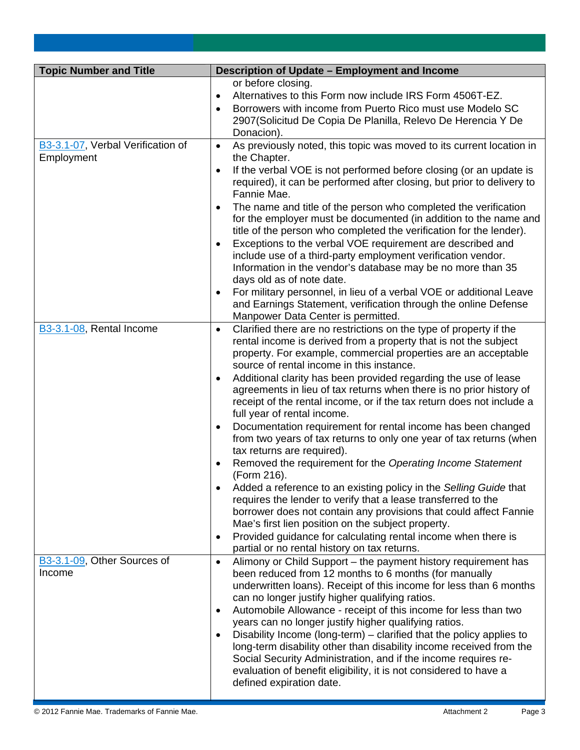| <b>Topic Number and Title</b>                   | Description of Update - Employment and Income                                                                                                                                                                                                                                                                                                                                                                                                                                                                                                                                                                                                                                                                                                                                                                                                                                                                                                                                                                                                                                                                                                                                      |  |  |  |
|-------------------------------------------------|------------------------------------------------------------------------------------------------------------------------------------------------------------------------------------------------------------------------------------------------------------------------------------------------------------------------------------------------------------------------------------------------------------------------------------------------------------------------------------------------------------------------------------------------------------------------------------------------------------------------------------------------------------------------------------------------------------------------------------------------------------------------------------------------------------------------------------------------------------------------------------------------------------------------------------------------------------------------------------------------------------------------------------------------------------------------------------------------------------------------------------------------------------------------------------|--|--|--|
|                                                 | or before closing.<br>Alternatives to this Form now include IRS Form 4506T-EZ.<br>$\bullet$<br>Borrowers with income from Puerto Rico must use Modelo SC<br>$\bullet$<br>2907 (Solicitud De Copia De Planilla, Relevo De Herencia Y De<br>Donacion).                                                                                                                                                                                                                                                                                                                                                                                                                                                                                                                                                                                                                                                                                                                                                                                                                                                                                                                               |  |  |  |
| B3-3.1-07, Verbal Verification of<br>Employment | As previously noted, this topic was moved to its current location in<br>$\bullet$<br>the Chapter.<br>If the verbal VOE is not performed before closing (or an update is<br>$\bullet$<br>required), it can be performed after closing, but prior to delivery to<br>Fannie Mae.<br>The name and title of the person who completed the verification<br>for the employer must be documented (in addition to the name and<br>title of the person who completed the verification for the lender).<br>Exceptions to the verbal VOE requirement are described and<br>$\bullet$<br>include use of a third-party employment verification vendor.<br>Information in the vendor's database may be no more than 35<br>days old as of note date.<br>For military personnel, in lieu of a verbal VOE or additional Leave<br>and Earnings Statement, verification through the online Defense<br>Manpower Data Center is permitted.                                                                                                                                                                                                                                                                 |  |  |  |
| B3-3.1-08, Rental Income                        | Clarified there are no restrictions on the type of property if the<br>$\bullet$<br>rental income is derived from a property that is not the subject<br>property. For example, commercial properties are an acceptable<br>source of rental income in this instance.<br>Additional clarity has been provided regarding the use of lease<br>agreements in lieu of tax returns when there is no prior history of<br>receipt of the rental income, or if the tax return does not include a<br>full year of rental income.<br>Documentation requirement for rental income has been changed<br>$\bullet$<br>from two years of tax returns to only one year of tax returns (when<br>tax returns are required).<br>Removed the requirement for the Operating Income Statement<br>(Form 216).<br>Added a reference to an existing policy in the Selling Guide that<br>requires the lender to verify that a lease transferred to the<br>borrower does not contain any provisions that could affect Fannie<br>Mae's first lien position on the subject property.<br>Provided guidance for calculating rental income when there is<br>$\bullet$<br>partial or no rental history on tax returns. |  |  |  |
| B3-3.1-09, Other Sources of<br>Income           | Alimony or Child Support - the payment history requirement has<br>$\bullet$<br>been reduced from 12 months to 6 months (for manually<br>underwritten loans). Receipt of this income for less than 6 months<br>can no longer justify higher qualifying ratios.<br>Automobile Allowance - receipt of this income for less than two<br>٠<br>years can no longer justify higher qualifying ratios.<br>Disability Income (long-term) – clarified that the policy applies to<br>$\bullet$<br>long-term disability other than disability income received from the<br>Social Security Administration, and if the income requires re-<br>evaluation of benefit eligibility, it is not considered to have a<br>defined expiration date.                                                                                                                                                                                                                                                                                                                                                                                                                                                      |  |  |  |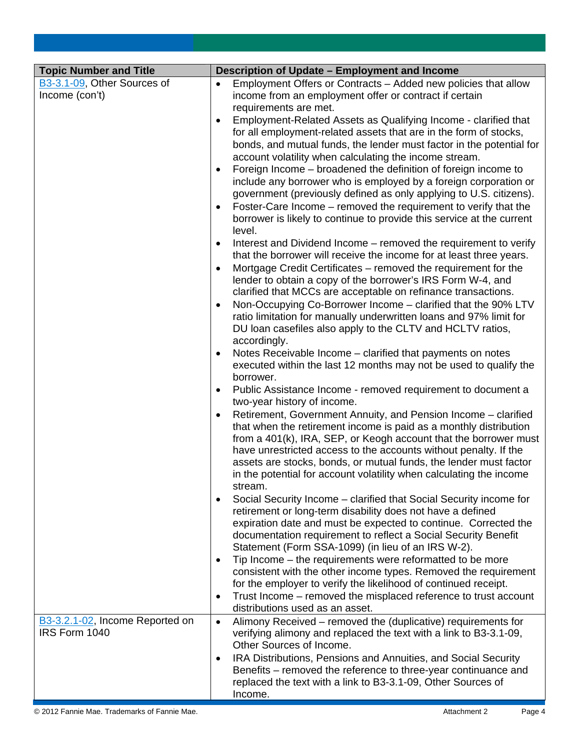| <b>Topic Number and Title</b>   | Description of Update - Employment and Income                                                                                                     |  |  |  |  |
|---------------------------------|---------------------------------------------------------------------------------------------------------------------------------------------------|--|--|--|--|
| B3-3.1-09, Other Sources of     | Employment Offers or Contracts - Added new policies that allow                                                                                    |  |  |  |  |
| Income (con't)                  | income from an employment offer or contract if certain                                                                                            |  |  |  |  |
|                                 | requirements are met.                                                                                                                             |  |  |  |  |
|                                 | Employment-Related Assets as Qualifying Income - clarified that<br>$\bullet$<br>for all employment-related assets that are in the form of stocks, |  |  |  |  |
|                                 | bonds, and mutual funds, the lender must factor in the potential for                                                                              |  |  |  |  |
|                                 | account volatility when calculating the income stream.                                                                                            |  |  |  |  |
|                                 | Foreign Income – broadened the definition of foreign income to<br>$\bullet$                                                                       |  |  |  |  |
|                                 | include any borrower who is employed by a foreign corporation or                                                                                  |  |  |  |  |
|                                 | government (previously defined as only applying to U.S. citizens).                                                                                |  |  |  |  |
|                                 | Foster-Care Income – removed the requirement to verify that the<br>$\bullet$                                                                      |  |  |  |  |
|                                 | borrower is likely to continue to provide this service at the current                                                                             |  |  |  |  |
|                                 | level.                                                                                                                                            |  |  |  |  |
|                                 | Interest and Dividend Income – removed the requirement to verify                                                                                  |  |  |  |  |
|                                 | that the borrower will receive the income for at least three years.<br>Mortgage Credit Certificates - removed the requirement for the             |  |  |  |  |
|                                 | lender to obtain a copy of the borrower's IRS Form W-4, and                                                                                       |  |  |  |  |
|                                 | clarified that MCCs are acceptable on refinance transactions.                                                                                     |  |  |  |  |
|                                 | Non-Occupying Co-Borrower Income - clarified that the 90% LTV                                                                                     |  |  |  |  |
|                                 | ratio limitation for manually underwritten loans and 97% limit for                                                                                |  |  |  |  |
|                                 | DU loan casefiles also apply to the CLTV and HCLTV ratios,                                                                                        |  |  |  |  |
|                                 | accordingly.                                                                                                                                      |  |  |  |  |
|                                 | Notes Receivable Income - clarified that payments on notes<br>$\bullet$<br>executed within the last 12 months may not be used to qualify the      |  |  |  |  |
|                                 | borrower.                                                                                                                                         |  |  |  |  |
|                                 | Public Assistance Income - removed requirement to document a                                                                                      |  |  |  |  |
|                                 | two-year history of income.                                                                                                                       |  |  |  |  |
|                                 | Retirement, Government Annuity, and Pension Income - clarified                                                                                    |  |  |  |  |
|                                 | that when the retirement income is paid as a monthly distribution                                                                                 |  |  |  |  |
|                                 | from a 401(k), IRA, SEP, or Keogh account that the borrower must                                                                                  |  |  |  |  |
|                                 | have unrestricted access to the accounts without penalty. If the<br>assets are stocks, bonds, or mutual funds, the lender must factor             |  |  |  |  |
|                                 | in the potential for account volatility when calculating the income                                                                               |  |  |  |  |
|                                 | stream.                                                                                                                                           |  |  |  |  |
|                                 | Social Security Income – clarified that Social Security income for<br>$\bullet$                                                                   |  |  |  |  |
|                                 | retirement or long-term disability does not have a defined                                                                                        |  |  |  |  |
|                                 | expiration date and must be expected to continue. Corrected the                                                                                   |  |  |  |  |
|                                 | documentation requirement to reflect a Social Security Benefit                                                                                    |  |  |  |  |
|                                 | Statement (Form SSA-1099) (in lieu of an IRS W-2).                                                                                                |  |  |  |  |
|                                 | Tip Income – the requirements were reformatted to be more<br>$\bullet$<br>consistent with the other income types. Removed the requirement         |  |  |  |  |
|                                 | for the employer to verify the likelihood of continued receipt.                                                                                   |  |  |  |  |
|                                 | Trust Income – removed the misplaced reference to trust account<br>$\bullet$                                                                      |  |  |  |  |
|                                 | distributions used as an asset.                                                                                                                   |  |  |  |  |
| B3-3.2.1-02, Income Reported on | Alimony Received – removed the (duplicative) requirements for<br>$\bullet$                                                                        |  |  |  |  |
| IRS Form 1040                   | verifying alimony and replaced the text with a link to B3-3.1-09,                                                                                 |  |  |  |  |
|                                 | Other Sources of Income.                                                                                                                          |  |  |  |  |
|                                 | IRA Distributions, Pensions and Annuities, and Social Security<br>$\bullet$                                                                       |  |  |  |  |
|                                 | Benefits – removed the reference to three-year continuance and<br>replaced the text with a link to B3-3.1-09, Other Sources of                    |  |  |  |  |
|                                 | Income.                                                                                                                                           |  |  |  |  |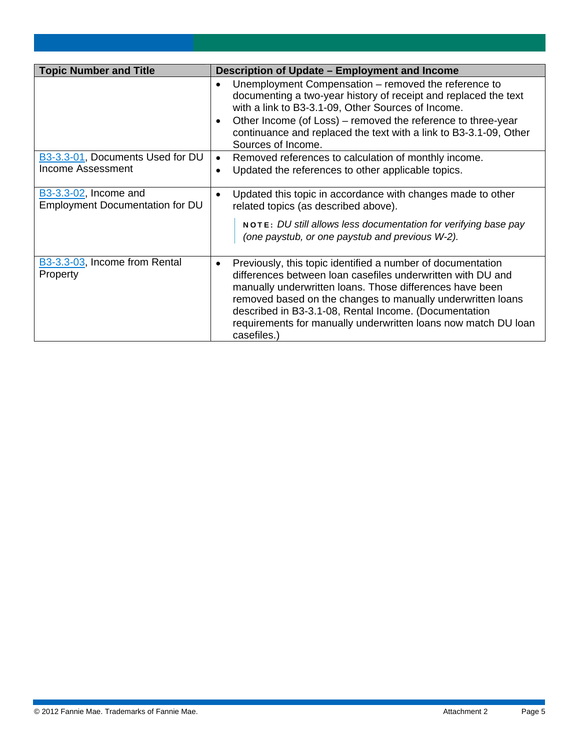| <b>Topic Number and Title</b>                            | Description of Update - Employment and Income                                                                                                                                                                                                                                                                                                                                                   |  |  |  |  |
|----------------------------------------------------------|-------------------------------------------------------------------------------------------------------------------------------------------------------------------------------------------------------------------------------------------------------------------------------------------------------------------------------------------------------------------------------------------------|--|--|--|--|
|                                                          | Unemployment Compensation - removed the reference to<br>documenting a two-year history of receipt and replaced the text<br>with a link to B3-3.1-09, Other Sources of Income.<br>Other Income (of Loss) – removed the reference to three-year<br>continuance and replaced the text with a link to B3-3.1-09, Other<br>Sources of Income.                                                        |  |  |  |  |
| B3-3.3-01, Documents Used for DU<br>Income Assessment    | Removed references to calculation of monthly income.<br>Updated the references to other applicable topics.<br>$\bullet$                                                                                                                                                                                                                                                                         |  |  |  |  |
| B3-3.3-02, Income and<br>Employment Documentation for DU | Updated this topic in accordance with changes made to other<br>related topics (as described above).                                                                                                                                                                                                                                                                                             |  |  |  |  |
|                                                          | NOTE: DU still allows less documentation for verifying base pay<br>(one paystub, or one paystub and previous W-2).                                                                                                                                                                                                                                                                              |  |  |  |  |
| B3-3.3-03, Income from Rental<br>Property                | Previously, this topic identified a number of documentation<br>differences between loan casefiles underwritten with DU and<br>manually underwritten loans. Those differences have been<br>removed based on the changes to manually underwritten loans<br>described in B3-3.1-08, Rental Income. (Documentation<br>requirements for manually underwritten loans now match DU loan<br>casefiles.) |  |  |  |  |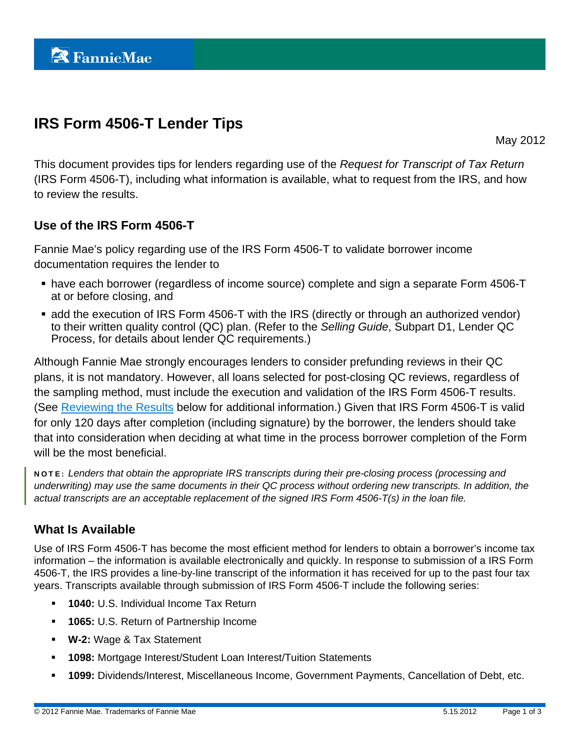# **IRS Form 4506-T Lender Tips**

May 2012

This document provides tips for lenders regarding use of the *Request for Transcript of Tax Return* (IRS Form 4506-T), including what information is available, what to request from the IRS, and how to review the results.

# **Use of the IRS Form 4506-T**

Fannie Mae's policy regarding use of the IRS Form 4506-T to validate borrower income documentation requires the lender to

- have each borrower (regardless of income source) complete and sign a separate Form 4506-T at or before closing, and
- **add the execution of IRS Form 4506-T with the IRS (directly or through an authorized vendor)** to their written quality control (QC) plan. (Refer to the *Selling Guide*, Subpart D1, Lender QC Process, for details about lender QC requirements.)

Although Fannie Mae strongly encourages lenders to consider prefunding reviews in their QC plans, it is not mandatory. However, all loans selected for post-closing QC reviews, regardless of the sampling method, must include the execution and validation of the IRS Form 4506-T results. (See [Reviewing the Results](#page-16-0) below for additional information.) Given that IRS Form 4506-T is valid for only 120 days after completion (including signature) by the borrower, the lenders should take that into consideration when deciding at what time in the process borrower completion of the Form will be the most beneficial.

NOTE: *Lenders that obtain the appropriate IRS transcripts during their pre-closing process (processing and underwriting) may use the same documents in their QC process without ordering new transcripts. In addition, the actual transcripts are an acceptable replacement of the signed IRS Form 4506-T(s) in the loan file.* 

# **What Is Available**

Use of IRS Form 4506-T has become the most efficient method for lenders to obtain a borrower's income tax information – the information is available electronically and quickly. In response to submission of a IRS Form 4506-T, the IRS provides a line-by-line transcript of the information it has received for up to the past four tax years. Transcripts available through submission of IRS Form 4506-T include the following series:

- **1040:** U.S. Individual Income Tax Return
- **1065:** U.S. Return of Partnership Income
- **W-2:** Wage & Tax Statement
- **1098:** Mortgage Interest/Student Loan Interest/Tuition Statements
- **1099:** Dividends/Interest, Miscellaneous Income, Government Payments, Cancellation of Debt, etc.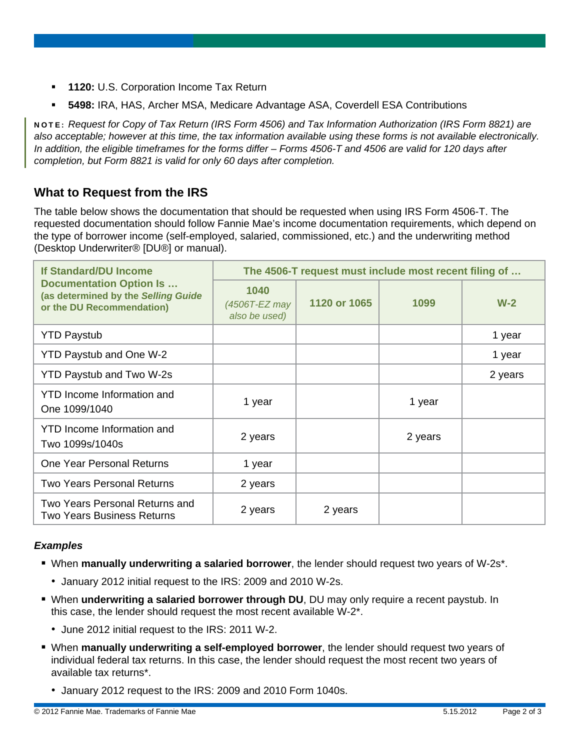- **1120:** U.S. Corporation Income Tax Return
- **5498:** IRA, HAS, Archer MSA, Medicare Advantage ASA, Coverdell ESA Contributions

NOTE: *Request for Copy of Tax Return (IRS Form 4506) and Tax Information Authorization (IRS Form 8821) are also acceptable; however at this time, the tax information available using these forms is not available electronically. In addition, the eligible timeframes for the forms differ – Forms 4506-T and 4506 are valid for 120 days after completion, but Form 8821 is valid for only 60 days after completion.* 

# **What to Request from the IRS**

The table below shows the documentation that should be requested when using IRS Form 4506-T. The requested documentation should follow Fannie Mae's income documentation requirements, which depend on the type of borrower income (self-employed, salaried, commissioned, etc.) and the underwriting method (Desktop Underwriter® [DU®] or manual).

| <b>If Standard/DU Income</b><br><b>Documentation Option Is</b><br>(as determined by the Selling Guide<br>or the DU Recommendation) | The 4506-T request must include most recent filing of |              |         |         |
|------------------------------------------------------------------------------------------------------------------------------------|-------------------------------------------------------|--------------|---------|---------|
|                                                                                                                                    | 1040<br>(4506T-EZ may<br>also be used)                | 1120 or 1065 | 1099    | $W-2$   |
| <b>YTD Paystub</b>                                                                                                                 |                                                       |              |         | 1 year  |
| <b>YTD Paystub and One W-2</b>                                                                                                     |                                                       |              |         | 1 year  |
| <b>YTD Paystub and Two W-2s</b>                                                                                                    |                                                       |              |         | 2 years |
| YTD Income Information and<br>One 1099/1040                                                                                        | 1 year                                                |              | 1 year  |         |
| YTD Income Information and<br>Two 1099s/1040s                                                                                      | 2 years                                               |              | 2 years |         |
| One Year Personal Returns                                                                                                          | 1 year                                                |              |         |         |
| Two Years Personal Returns                                                                                                         | 2 years                                               |              |         |         |
| Two Years Personal Returns and<br>Two Years Business Returns                                                                       | 2 years                                               | 2 years      |         |         |

#### *Examples*

- When **manually underwriting a salaried borrower**, the lender should request two years of W-2s\*.
	- January 2012 initial request to the IRS: 2009 and 2010 W-2s.
- When **underwriting a salaried borrower through DU**, DU may only require a recent paystub. In this case, the lender should request the most recent available W-2\*.
	- June 2012 initial request to the IRS: 2011 W-2.
- When **manually underwriting a self-employed borrower**, the lender should request two years of individual federal tax returns. In this case, the lender should request the most recent two years of available tax returns\*.
	- January 2012 request to the IRS: 2009 and 2010 Form 1040s.